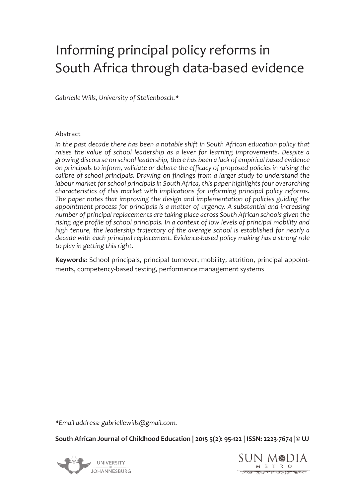# Informing principal policy reforms in South Africa through data-based evidence

*Gabrielle Wills, University of Stellenbosch.\**

#### Abstract

In the past decade there has been a notable shift in South African education policy that raises the value of school leadership as a lever for learning improvements. Despite a *growing discourse on school leadership, there has been a lack of empirical based evidence on principals to inform, validate or debate the efficacy of proposed policies in raising the calibre of school principals. Drawing on findings from a larger study to understand the labour market for school principals in South Africa, this paper highlights four overarching characteristics of this market with implications for informing principal policy reforms. The paper notes that improving the design and implementation of policies guiding the appointment process for principals is a matter of urgency. A substantial and increasing number of principal replacements are taking place across South African schools given the*  rising age profile of school principals. In a context of low levels of principal mobility and *high tenure, the leadership trajectory of the average school is established for nearly a decade with each principal replacement. Evidence-based policy making has a strong role to play in getting this right.*

**Keywords:** School principals, principal turnover, mobility, attrition, principal appointments, competency-based testing, performance management systems

*\*Email address: gabriellewills@gmail.com.*

**South African Journal of Childhood Education | 2015 5(2): 95-122 | ISSN: 2223-7674 |© UJ**



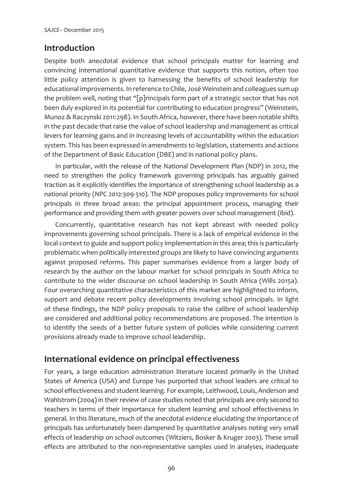### **Introduction**

Despite both anecdotal evidence that school principals matter for learning and convincing international quantitative evidence that supports this notion, often too little policy attention is given to harnessing the benefits of school leadership for educational improvements. In reference to Chile, José Weinstein and colleagues sum up the problem well, noting that "[p]rincipals form part of a strategic sector that has not been duly explored in its potential for contributing to education progress" (Weinstein, Munoz & Raczynski 2011:298). In South Africa, however, there have been notable shifts in the past decade that raise the value of school leadership and management as critical levers for learning gains and in increasing levels of accountability within the education system. This has been expressed in amendments to legislation, statements and actions of the Department of Basic Education (DBE) and in national policy plans.

In particular, with the release of the National Development Plan (NDP) in 2012, the need to strengthen the policy framework governing principals has arguably gained traction as it explicitly identifies the importance of strengthening school leadership as a national priority (NPC 2012:309-310). The NDP proposes policy improvements for school principals in three broad areas: the principal appointment process, managing their performance and providing them with greater powers over school management (ibid).

Concurrently, quantitative research has not kept abreast with needed policy improvements governing school principals. There is a lack of empirical evidence in the local context to guide and support policy implementation in this area; this is particularly problematic when politically interested groups are likely to have convincing arguments against proposed reforms. This paper summarises evidence from a larger body of research by the author on the labour market for school principals in South Africa to contribute to the wider discourse on school leadership in South Africa (Wills 2015a). Four overarching quantitative characteristics of this market are highlighted to inform, support and debate recent policy developments involving school principals. In light of these findings, the NDP policy proposals to raise the calibre of school leadership are considered and additional policy recommendations are proposed. The intention is to identify the seeds of a better future system of policies while considering current provisions already made to improve school leadership.

### **International evidence on principal effectiveness**

For years, a large education administration literature located primarily in the United States of America (USA) and Europe has purported that school leaders are critical to school effectiveness and student learning. For example, Leithwood, Louis, Anderson and Wahlstrom (2004) in their review of case studies noted that principals are only second to teachers in terms of their importance for student learning and school effectiveness in general. In this literature, much of the anecdotal evidence elucidating the importance of principals has unfortunately been dampened by quantitative analyses noting very small effects of leadership on school outcomes (Witziers, Bosker & Kruger 2003). These small effects are attributed to the non-representative samples used in analyses, inadequate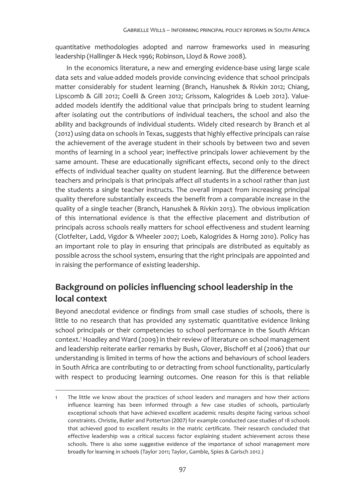quantitative methodologies adopted and narrow frameworks used in measuring leadership (Hallinger & Heck 1996; Robinson, Lloyd & Rowe 2008).

In the economics literature, a new and emerging evidence-base using large scale data sets and value-added models provide convincing evidence that school principals matter considerably for student learning (Branch, Hanushek & Rivkin 2012; Chiang, Lipscomb & Gill 2012; Coelli & Green 2012; Grissom, Kalogrides & Loeb 2012). Valueadded models identify the additional value that principals bring to student learning after isolating out the contributions of individual teachers, the school and also the ability and backgrounds of individual students. Widely cited research by Branch et al (2012) using data on schools in Texas, suggests that highly effective principals can raise the achievement of the average student in their schools by between two and seven months of learning in a school year; ineffective principals lower achievement by the same amount. These are educationally significant effects, second only to the direct effects of individual teacher quality on student learning. But the difference between teachers and principals is that principals affect *all* students in a school rather than just the students a single teacher instructs. The overall impact from increasing principal quality therefore substantially exceeds the benefit from a comparable increase in the quality of a single teacher (Branch, Hanushek & Rivkin 2013). The obvious implication of this international evidence is that the effective placement and distribution of principals across schools really matters for school effectiveness and student learning (Clotfelter, Ladd, Vigdor & Wheeler 2007; Loeb, Kalogrides & Horng 2010). Policy has an important role to play in ensuring that principals are distributed as equitably as possible across the school system, ensuring that the right principals are appointed and in raising the performance of existing leadership.

# **Background on policies influencing school leadership in the local context**

Beyond anecdotal evidence or findings from small case studies of schools, there is little to no research that has provided any systematic quantitative evidence linking school principals or their competencies to school performance in the South African context.1 Hoadley and Ward (2009) in their review of literature on school management and leadership reiterate earlier remarks by Bush, Glover, Bischoff et al (2006) that our understanding is limited in terms of how the actions and behaviours of school leaders in South Africa are contributing to or detracting from school functionality, particularly with respect to producing learning outcomes. One reason for this is that reliable

<sup>1</sup> The little we know about the practices of school leaders and managers and how their actions influence learning has been informed through a few case studies of schools, particularly exceptional schools that have achieved excellent academic results despite facing various school constraints. Christie, Butler and Potterton (2007) for example conducted case studies of 18 schools that achieved good to excellent results in the matric certificate. Their research concluded that effective leadership was a critical success factor explaining student achievement across these schools. There is also some suggestive evidence of the importance of school management more broadly for learning in schools (Taylor 2011; Taylor, Gamble, Spies & Garisch 2012.)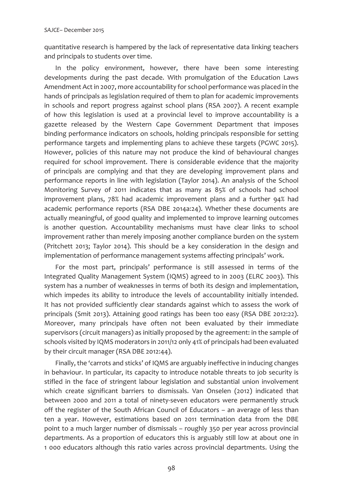quantitative research is hampered by the lack of representative data linking teachers and principals to students over time.

In the policy environment, however, there have been some interesting developments during the past decade. With promulgation of the Education Laws Amendment Act in 2007, more accountability for school performance was placed in the hands of principals as legislation required of them to plan for academic improvements in schools and report progress against school plans (RSA 2007). A recent example of how this legislation is used at a provincial level to improve accountability is a gazette released by the Western Cape Government Department that imposes binding performance indicators on schools, holding principals responsible for setting performance targets and implementing plans to achieve these targets (PGWC 2015). However, policies of this nature may not produce the kind of behavioural changes required for school improvement. There is considerable evidence that the majority of principals are complying and that they are developing improvement plans and performance reports in line with legislation (Taylor 2014). An analysis of the School Monitoring Survey of 2011 indicates that as many as 85% of schools had school improvement plans, 78% had academic improvement plans and a further 94% had academic performance reports (RSA DBE 2014a:24). Whether these documents are actually meaningful, of good quality and implemented to improve learning outcomes is another question. Accountability mechanisms must have clear links to school improvement rather than merely imposing another compliance burden on the system (Pritchett 2013; Taylor 2014). This should be a key consideration in the design and implementation of performance management systems affecting principals' work.

For the most part, principals' performance is still assessed in terms of the Integrated Quality Management System (IQMS) agreed to in 2003 (ELRC 2003). This system has a number of weaknesses in terms of both its design and implementation, which impedes its ability to introduce the levels of accountability initially intended. It has not provided sufficiently clear standards against which to assess the work of principals (Smit 2013). Attaining good ratings has been too easy (RSA DBE 2012:22). Moreover, many principals have often not been evaluated by their immediate supervisors (circuit managers) as initially proposed by the agreement: in the sample of schools visited by IQMS moderators in 2011/12 only 41% of principals had been evaluated by their circuit manager (RSA DBE 2012:44).

Finally, the 'carrots and sticks' of IQMS are arguably ineffective in inducing changes in behaviour. In particular, its capacity to introduce notable threats to job security is stifled in the face of stringent labour legislation and substantial union involvement which create significant barriers to dismissals. Van Onselen (2012) indicated that between 2000 and 2011 a total of ninety-seven educators were permanently struck off the register of the South African Council of Educators – an average of less than ten a year. However, estimations based on 2011 termination data from the DBE point to a much larger number of dismissals – roughly 350 per year across provincial departments. As a proportion of educators this is arguably still low at about one in 1 000 educators although this ratio varies across provincial departments. Using the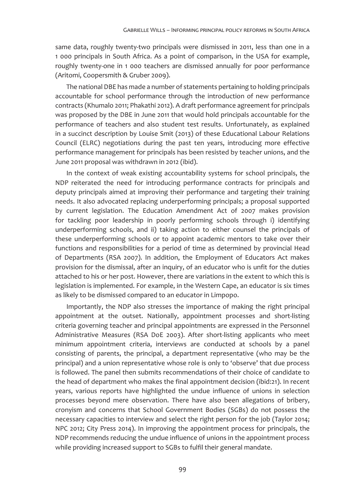same data, roughly twenty-two principals were dismissed in 2011, less than one in a 1 000 principals in South Africa. As a point of comparison, in the USA for example, roughly twenty-one in 1 000 teachers are dismissed annually for poor performance (Aritomi, Coopersmith & Gruber 2009).

The national DBE has made a number of statements pertaining to holding principals accountable for school performance through the introduction of new performance contracts (Khumalo 2011; Phakathi 2012). A draft performance agreement for principals was proposed by the DBE in June 2011 that would hold principals accountable for the performance of teachers and also student test results. Unfortunately, as explained in a succinct description by Louise Smit (2013) of these Educational Labour Relations Council (ELRC) negotiations during the past ten years, introducing more effective performance management for principals has been resisted by teacher unions, and the June 2011 proposal was withdrawn in 2012 (ibid).

In the context of weak existing accountability systems for school principals, the NDP reiterated the need for introducing performance contracts for principals and deputy principals aimed at improving their performance and targeting their training needs. It also advocated replacing underperforming principals; a proposal supported by current legislation. The Education Amendment Act of 2007 makes provision for tackling poor leadership in poorly performing schools through i) identifying underperforming schools, and ii) taking action to either counsel the principals of these underperforming schools or to appoint academic mentors to take over their functions and responsibilities for a period of time as determined by provincial Head of Departments (RSA 2007). In addition, the Employment of Educators Act makes provision for the dismissal, after an inquiry, of an educator who is unfit for the duties attached to his or her post. However, there are variations in the extent to which this is legislation is implemented. For example, in the Western Cape, an educator is six times as likely to be dismissed compared to an educator in Limpopo.

Importantly, the NDP also stresses the importance of making the right principal appointment at the outset. Nationally, appointment processes and short-listing criteria governing teacher and principal appointments are expressed in the Personnel Administrative Measures (RSA DoE 2003). After short-listing applicants who meet minimum appointment criteria, interviews are conducted at schools by a panel consisting of parents, the principal, a department representative (who may be the principal) and a union representative whose role is only to 'observe' that due process is followed. The panel then submits recommendations of their choice of candidate to the head of department who makes the final appointment decision (ibid:21). In recent years, various reports have highlighted the undue influence of unions in selection processes beyond mere observation. There have also been allegations of bribery, cronyism and concerns that School Government Bodies (SGBs) do not possess the necessary capacities to interview and select the right person for the job (Taylor 2014; NPC 2012; City Press 2014). In improving the appointment process for principals, the NDP recommends reducing the undue influence of unions in the appointment process while providing increased support to SGBs to fulfil their general mandate.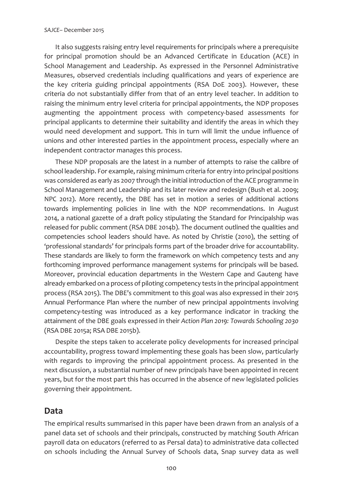It also suggests raising entry level requirements for principals where a prerequisite for principal promotion should be an Advanced Certificate in Education (ACE) in School Management and Leadership. As expressed in the Personnel Administrative Measures, observed credentials including qualifications and years of experience are the key criteria guiding principal appointments (RSA DoE 2003). However, these criteria do not substantially differ from that of an entry level teacher. In addition to raising the minimum entry level criteria for principal appointments, the NDP proposes augmenting the appointment process with competency-based assessments for principal applicants to determine their suitability and identify the areas in which they would need development and support. This in turn will limit the undue influence of unions and other interested parties in the appointment process, especially where an independent contractor manages this process.

These NDP proposals are the latest in a number of attempts to raise the calibre of school leadership. For example, raising minimum criteria for entry into principal positions was considered as early as 2007 through the initial introduction of the ACE programme in School Management and Leadership and its later review and redesign (Bush et al. 2009; NPC 2012). More recently, the DBE has set in motion a series of additional actions towards implementing policies in line with the NDP recommendations. In August 2014, a national gazette of a draft policy stipulating the Standard for Principalship was released for public comment (RSA DBE 2014b). The document outlined the qualities and competencies school leaders should have. As noted by Christie (2010), the setting of 'professional standards' for principals forms part of the broader drive for accountability. These standards are likely to form the framework on which competency tests and any forthcoming improved performance management systems for principals will be based. Moreover, provincial education departments in the Western Cape and Gauteng have already embarked on a process of piloting competency tests in the principal appointment process (RSA 2015). The DBE's commitment to this goal was also expressed in their 2015 Annual Performance Plan where the number of new principal appointments involving competency-testing was introduced as a key performance indicator in tracking the attainment of the DBE goals expressed in their *Action Plan 2019: Towards Schooling 2030* (RSA DBE 2015a; RSA DBE 2015b).

Despite the steps taken to accelerate policy developments for increased principal accountability, progress toward implementing these goals has been slow, particularly with regards to improving the principal appointment process. As presented in the next discussion, a substantial number of new principals have been appointed in recent years, but for the most part this has occurred in the absence of new legislated policies governing their appointment.

#### **Data**

The empirical results summarised in this paper have been drawn from an analysis of a panel data set of schools and their principals, constructed by matching South African payroll data on educators (referred to as Persal data) to administrative data collected on schools including the Annual Survey of Schools data, Snap survey data as well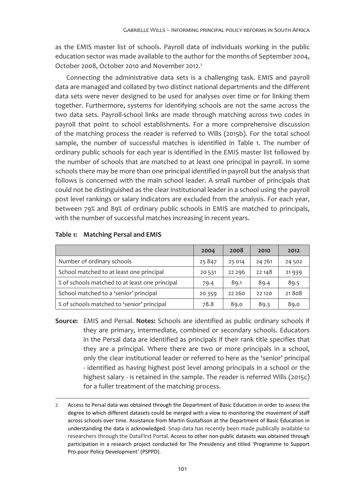as the EMIS master list of schools. Payroll data of individuals working in the public education sector was made available to the author for the months of September 2004, October 2008, October 2010 and November 2012.<sup>2</sup>

Connecting the administrative data sets is a challenging task. EMIS and payroll data are managed and collated by two distinct national departments and the different data sets were never designed to be used for analyses over time or for linking them together. Furthermore, systems for identifying schools are not the same across the two data sets. Payroll-school links are made through matching across two codes in payroll that point to school establishments. For a more comprehensive discussion of the matching process the reader is referred to Wills (2015b). For the total school sample, the number of successful matches is identified in Table 1. The number of ordinary public schools for each year is identified in the EMIS master list followed by the number of schools that are matched to at least one principal in payroll. In some schools there may be more than one principal identified in payroll but the analysis that follows is concerned with the main school leader. A small number of principals that could not be distinguished as the clear institutional leader in a school using the payroll post level rankings or salary indicators are excluded from the analysis. For each year, between 79% and 89% of ordinary public schools in EMIS are matched to principals, with the number of successful matches increasing in recent years.

|                                                | 2004    | 2008     | 2010    | 2012     |
|------------------------------------------------|---------|----------|---------|----------|
| Number of ordinary schools                     | 25 8 47 | 25 014   | 24 7 61 | 24 5 02  |
| School matched to at least one principal       | 20 5 31 | 22 2 9 6 | 22 148  | 21 9 3 9 |
| % of schools matched to at least one principal | 79.4    | 89.1     | 89.4    | 89.5     |
| School matched to a 'senior' principal         | 20 359  | 22 260   | 22 120  | 21808    |
| % of schools matched to 'senior' principal     | 78.8    | 89.0     | 89.3    | 89.0     |

#### **Table 1: Matching Persal and EMIS**

**Source:** EMIS and Persal. **Notes:** Schools are identified as public ordinary schools if they are primary, intermediate, combined or secondary schools. Educators in the Persal data are identified as principals if their rank title specifies that they are a principal. Where there are two or more principals in a school, only the clear institutional leader or referred to here as the 'senior' principal - identified as having highest post level among principals in a school or the highest salary - is retained in the sample. The reader is referred Wills (2015c) for a fuller treatment of the matching process.

<sup>2</sup> Access to Persal data was obtained through the Department of Basic Education in order to assess the degree to which different datasets could be merged with a view to monitoring the movement of staff across schools over time. Assistance from Martin Gustafsson at the Department of Basic Education in understanding the data is acknowledged. Snap data has recently been made publically available to researchers through the DataFirst Portal. Access to other non-public datasets was obtained through participation in a research project conducted for The Presidency and titled 'Programme to Support Pro-poor Policy Development' (PSPPD).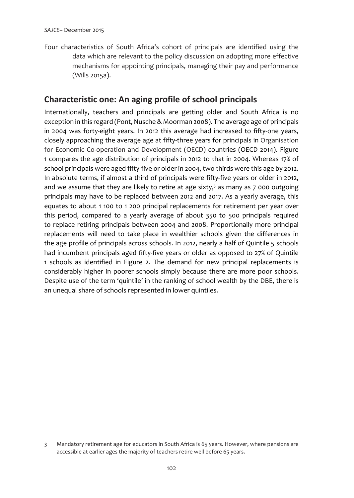Four characteristics of South Africa's cohort of principals are identified using the data which are relevant to the policy discussion on adopting more effective mechanisms for appointing principals, managing their pay and performance (Wills 2015a).

### **Characteristic one: An aging profile of school principals**

Internationally, teachers and principals are getting older and South Africa is no exception in this regard (Pont, Nusche & Moorman 2008). The average age of principals in 2004 was forty-eight years. In 2012 this average had increased to fifty-one years, closely approaching the average age at fifty-three years for principals in Organisation for Economic Co-operation and Development (OECD) countries (OECD 2014). Figure 1 compares the age distribution of principals in 2012 to that in 2004. Whereas 17% of school principals were aged fifty-five or older in 2004, two thirds were this age by 2012. In absolute terms, if almost a third of principals were fifty-five years or older in 2012, and we assume that they are likely to retire at age sixty,<sup>3</sup> as many as 7 000 outgoing principals may have to be replaced between 2012 and 2017. As a yearly average, this equates to about 1 100 to 1 200 principal replacements for retirement per year over this period, compared to a yearly average of about 350 to 500 principals required to replace retiring principals between 2004 and 2008. Proportionally more principal replacements will need to take place in wealthier schools given the differences in the age profile of principals across schools. In 2012, nearly a half of Quintile 5 schools had incumbent principals aged fifty-five years or older as opposed to 27% of Quintile 1 schools as identified in Figure 2. The demand for new principal replacements is considerably higher in poorer schools simply because there are more poor schools. Despite use of the term 'quintile' in the ranking of school wealth by the DBE, there is an unequal share of schools represented in lower quintiles.

<sup>3</sup> Mandatory retirement age for educators in South Africa is 65 years. However, where pensions are accessible at earlier ages the majority of teachers retire well before 65 years.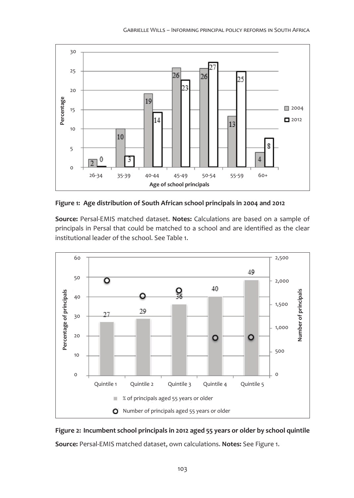

**Figure 1: Age distribution of South African school principals in 2004 and 2012**

**Source:** Persal-EMIS matched dataset. **Notes:** Calculations are based on a sample of principals in Persal that could be matched to a school and are identified as the clear institutional leader of the school. See Table 1.





**Source:** Persal-EMIS matched dataset, own calculations. **Notes:** See Figure 1.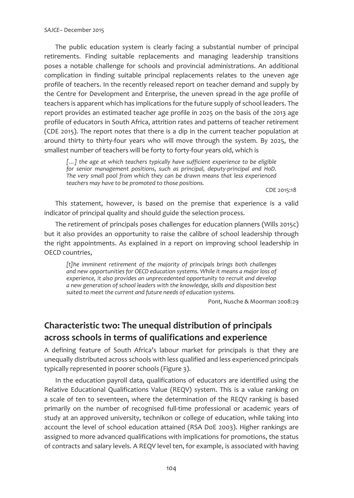The public education system is clearly facing a substantial number of principal retirements. Finding suitable replacements and managing leadership transitions poses a notable challenge for schools and provincial administrations. An additional complication in finding suitable principal replacements relates to the uneven age profile of teachers. In the recently released report on teacher demand and supply by the Centre for Development and Enterprise, the uneven spread in the age profile of teachers is apparent which has implications for the future supply of school leaders. The report provides an estimated teacher age profile in 2025 on the basis of the 2013 age profile of educators in South Africa, attrition rates and patterns of teacher retirement (CDE 2015). The report notes that there is a dip in the current teacher population at around thirty to thirty-four years who will move through the system. By 2025, the smallest number of teachers will be forty to forty-four years old, which is

[...] the age at which teachers typically have sufficient experience to be eligible *for senior management positions, such as principal, deputy-principal and HoD. The very small pool from which they can be drawn means that less experienced teachers may have to be promoted to those positions.*

CDE 2015:18

This statement, however, is based on the premise that experience is a valid indicator of principal quality and should guide the selection process.

The retirement of principals poses challenges for education planners (Wills 2015c) but it also provides an opportunity to raise the calibre of school leadership through the right appointments. As explained in a report on improving school leadership in OECD countries,

*[t]he imminent retirement of the majority of principals brings both challenges and new opportunities for OECD education systems. While it means a major loss of experience, it also provides an unprecedented opportunity to recruit and develop a new generation of school leaders with the knowledge, skills and disposition best suited to meet the current and future needs of education systems.*

Pont, Nusche & Moorman 2008:29

## **Characteristic two: The unequal distribution of principals across schools in terms of qualifications and experience**

A defining feature of South Africa's labour market for principals is that they are unequally distributed across schools with less qualified and less experienced principals typically represented in poorer schools (Figure 3).

In the education payroll data, qualifications of educators are identified using the Relative Educational Qualifications Value (REQV) system. This is a value ranking on a scale of ten to seventeen, where the determination of the REQV ranking is based primarily on the number of recognised full-time professional or academic years of study at an approved university, technikon or college of education, while taking into account the level of school education attained (RSA DoE 2003). Higher rankings are assigned to more advanced qualifications with implications for promotions, the status of contracts and salary levels. A REQV level ten, for example, is associated with having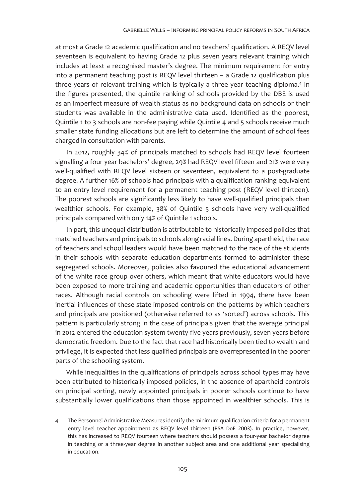at most a Grade 12 academic qualification and no teachers' qualification. A REQV level seventeen is equivalent to having Grade 12 plus seven years relevant training which includes at least a recognised master's degree. The minimum requirement for entry into a permanent teaching post is REQV level thirteen – a Grade 12 qualification plus three years of relevant training which is typically a three year teaching diploma.<sup>4</sup> In the figures presented, the quintile ranking of schools provided by the DBE is used as an imperfect measure of wealth status as no background data on schools or their students was available in the administrative data used. Identified as the poorest, Quintile 1 to 3 schools are non-fee paying while Quintile 4 and 5 schools receive much smaller state funding allocations but are left to determine the amount of school fees charged in consultation with parents.

In 2012, roughly 34% of principals matched to schools had REQV level fourteen signalling a four year bachelors' degree, 29% had REQV level fifteen and 21% were very well-qualified with REQV level sixteen or seventeen, equivalent to a post-graduate degree. A further 16% of schools had principals with a qualification ranking equivalent to an entry level requirement for a permanent teaching post (REQV level thirteen). The poorest schools are significantly less likely to have well-qualified principals than wealthier schools. For example, 38% of Quintile 5 schools have very well-qualified principals compared with only 14% of Quintile 1 schools.

In part, this unequal distribution is attributable to historically imposed policies that matched teachers and principals to schools along racial lines. During apartheid, the race of teachers and school leaders would have been matched to the race of the students in their schools with separate education departments formed to administer these segregated schools. Moreover, policies also favoured the educational advancement of the white race group over others, which meant that white educators would have been exposed to more training and academic opportunities than educators of other races. Although racial controls on schooling were lifted in 1994, there have been inertial influences of these state imposed controls on the patterns by which teachers and principals are positioned (otherwise referred to as 'sorted') across schools. This pattern is particularly strong in the case of principals given that the average principal in 2012 entered the education system twenty-five years previously, seven years before democratic freedom. Due to the fact that race had historically been tied to wealth and privilege, it is expected that less qualified principals are overrepresented in the poorer parts of the schooling system.

While inequalities in the qualifications of principals across school types may have been attributed to historically imposed policies, in the absence of apartheid controls on principal sorting, newly appointed principals in poorer schools continue to have substantially lower qualifications than those appointed in wealthier schools. This is

<sup>4</sup> The Personnel Administrative Measures identify the minimum qualification criteria for a permanent entry level teacher appointment as REQV level thirteen (RSA DoE 2003). In practice, however, this has increased to REQV fourteen where teachers should possess a four-year bachelor degree in teaching or a three-year degree in another subject area and one additional year specialising in education.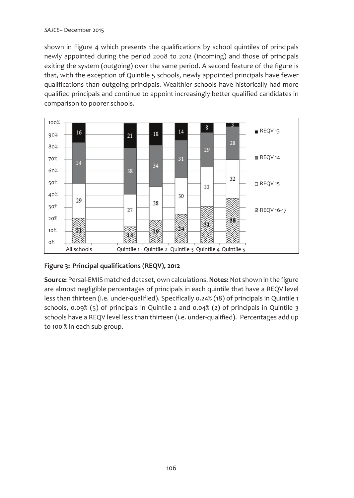shown in Figure 4 which presents the qualifications by school quintiles of principals newly appointed during the period 2008 to 2012 (incoming) and those of principals exiting the system (outgoing) over the same period. A second feature of the figure is that, with the exception of Quintile 5 schools, newly appointed principals have fewer qualifications than outgoing principals. Wealthier schools have historically had more qualified principals and continue to appoint increasingly better qualified candidates in comparison to poorer schools.



**Figure 3: Principal qualifications (REQV), 2012**

**Source:** Persal-EMIS matched dataset, own calculations. **Notes:** Not shown in the figure are almost negligible percentages of principals in each quintile that have a REQV level less than thirteen (i.e. under-qualified). Specifically 0.24% (18) of principals in Quintile 1 schools, 0.09% (5) of principals in Quintile 2 and 0.04% (2) of principals in Quintile 3 schools have a REQV level less than thirteen (i.e. under-qualified). Percentages add up to 100 % in each sub-group.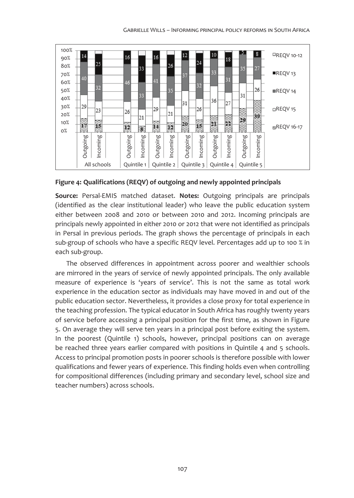

**Figure 4: Qualifications (REQV) of outgoing and newly appointed principals**

**Source:** Persal-EMIS matched dataset. **Notes:** Outgoing principals are principals (identified as the clear institutional leader) who leave the public education system either between 2008 and 2010 or between 2010 and 2012. Incoming principals are principals newly appointed in either 2010 or 2012 that were not identified as principals in Persal in previous periods. The graph shows the percentage of principals in each sub-group of schools who have a specific REQV level. Percentages add up to 100 % in each sub-group.

The observed differences in appointment across poorer and wealthier schools are mirrored in the years of service of newly appointed principals. The only available measure of experience is 'years of service'. This is not the same as total work experience in the education sector as individuals may have moved in and out of the public education sector. Nevertheless, it provides a close proxy for total experience in the teaching profession. The typical educator in South Africa has roughly twenty years of service before accessing a principal position for the first time, as shown in Figure 5. On average they will serve ten years in a principal post before exiting the system. In the poorest (Quintile 1) schools, however, principal positions can on average be reached three years earlier compared with positions in Quintile 4 and 5 schools. Access to principal promotion posts in poorer schools is therefore possible with lower qualifications and fewer years of experience. This finding holds even when controlling for compositional differences (including primary and secondary level, school size and teacher numbers) across schools.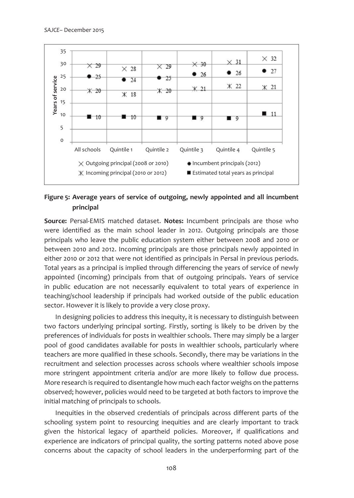

#### **Figure 5: Average years of service of outgoing, newly appointed and all incumbent principal**

**Source:** Persal-EMIS matched dataset. **Notes:** Incumbent principals are those who were identified as the main school leader in 2012. Outgoing principals are those principals who leave the public education system either between 2008 and 2010 or between 2010 and 2012. Incoming principals are those principals newly appointed in either 2010 or 2012 that were not identified as principals in Persal in previous periods. Total years as a principal is implied through differencing the years of service of newly appointed (incoming) principals from that of outgoing principals. Years of service in public education are not necessarily equivalent to total years of experience in teaching/school leadership if principals had worked outside of the public education sector. However it is likely to provide a very close proxy.

In designing policies to address this inequity, it is necessary to distinguish between two factors underlying principal sorting. Firstly, sorting is likely to be driven by the preferences of individuals for posts in wealthier schools. There may simply be a larger pool of good candidates available for posts in wealthier schools, particularly where teachers are more qualified in these schools. Secondly, there may be variations in the recruitment and selection processes across schools where wealthier schools impose more stringent appointment criteria and/or are more likely to follow due process. More research is required to disentangle how much each factor weighs on the patterns observed; however, policies would need to be targeted at both factors to improve the initial matching of principals to schools.

Inequities in the observed credentials of principals across different parts of the schooling system point to resourcing inequities and are clearly important to track given the historical legacy of apartheid policies. Moreover, if qualifications and experience are indicators of principal quality, the sorting patterns noted above pose concerns about the capacity of school leaders in the underperforming part of the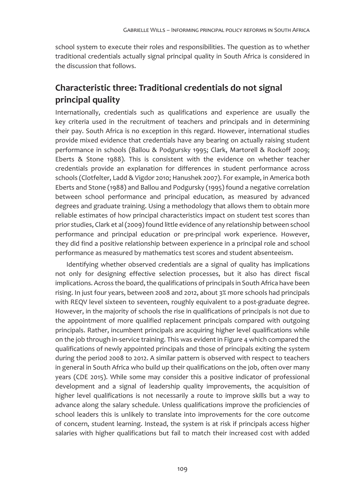school system to execute their roles and responsibilities. The question as to whether traditional credentials actually signal principal quality in South Africa is considered in the discussion that follows.

# **Characteristic three: Traditional credentials do not signal principal quality**

Internationally, credentials such as qualifications and experience are usually the key criteria used in the recruitment of teachers and principals and in determining their pay. South Africa is no exception in this regard. However, international studies provide mixed evidence that credentials have any bearing on actually raising student performance in schools (Ballou & Podgursky 1995; Clark, Martorell & Rockoff 2009; Eberts & Stone 1988). This is consistent with the evidence on whether teacher credentials provide an explanation for differences in student performance across schools (Clotfelter, Ladd & Vigdor 2010; Hanushek 2007). For example, in America both Eberts and Stone (1988) and Ballou and Podgursky (1995) found a negative correlation between school performance and principal education, as measured by advanced degrees and graduate training. Using a methodology that allows them to obtain more reliable estimates of how principal characteristics impact on student test scores than prior studies, Clark et al (2009) found little evidence of any relationship between school performance and principal education or pre-principal work experience. However, they did find a positive relationship between experience in a principal role and school performance as measured by mathematics test scores and student absenteeism.

Identifying whether observed credentials are a signal of quality has implications not only for designing effective selection processes, but it also has direct fiscal implications. Across the board, the qualifications of principals in South Africa have been rising. In just four years, between 2008 and 2012, about 3% more schools had principals with REQV level sixteen to seventeen, roughly equivalent to a post-graduate degree. However, in the majority of schools the rise in qualifications of principals is not due to the appointment of more qualified replacement principals compared with outgoing principals. Rather, incumbent principals are acquiring higher level qualifications while on the job through in-service training. This was evident in Figure 4 which compared the qualifications of newly appointed principals and those of principals exiting the system during the period 2008 to 2012. A similar pattern is observed with respect to teachers in general in South Africa who build up their qualifications on the job, often over many years (CDE 2015). While some may consider this a positive indicator of professional development and a signal of leadership quality improvements, the acquisition of higher level qualifications is not necessarily a route to improve skills but a way to advance along the salary schedule. Unless qualifications improve the proficiencies of school leaders this is unlikely to translate into improvements for the core outcome of concern, student learning. Instead, the system is at risk if principals access higher salaries with higher qualifications but fail to match their increased cost with added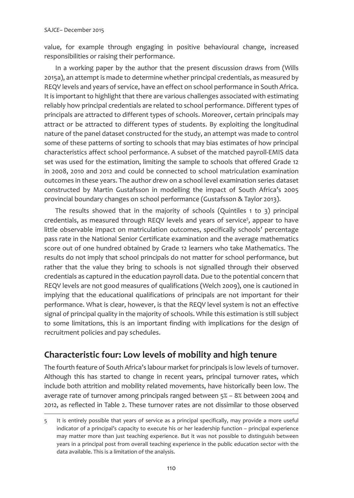value, for example through engaging in positive behavioural change, increased responsibilities or raising their performance.

In a working paper by the author that the present discussion draws from (Wills 2015a), an attempt is made to determine whether principal credentials, as measured by REQV levels and years of service, have an effect on school performance in South Africa. It is important to highlight that there are various challenges associated with estimating reliably how principal credentials are related to school performance. Different types of principals are attracted to different types of schools. Moreover, certain principals may attract or be attracted to different types of students. By exploiting the longitudinal nature of the panel dataset constructed for the study, an attempt was made to control some of these patterns of sorting to schools that may bias estimates of how principal characteristics affect school performance. A subset of the matched payroll-EMIS data set was used for the estimation, limiting the sample to schools that offered Grade 12 in 2008, 2010 and 2012 and could be connected to school matriculation examination outcomes in these years. The author drew on a school level examination series dataset constructed by Martin Gustafsson in modelling the impact of South Africa's 2005 provincial boundary changes on school performance (Gustafsson & Taylor 2013).

The results showed that in the majority of schools (Quintiles 1 to 3) principal credentials, as measured through REQV levels and years of service<sup>5</sup>, appear to have little observable impact on matriculation outcomes, specifically schools' percentage pass rate in the National Senior Certificate examination and the average mathematics score out of one hundred obtained by Grade 12 learners who take Mathematics. The results do not imply that school principals do not matter for school performance, but rather that the value they bring to schools is not signalled through their observed credentials as captured in the education payroll data. Due to the potential concern that REQV levels are not good measures of qualifications (Welch 2009), one is cautioned in implying that the educational qualifications of principals are not important for their performance. What is clear, however, is that the REQV level system is not an effective signal of principal quality in the majority of schools. While this estimation is still subject to some limitations, this is an important finding with implications for the design of recruitment policies and pay schedules.

### **Characteristic four: Low levels of mobility and high tenure**

The fourth feature of South Africa's labour market for principals is low levels of turnover. Although this has started to change in recent years, principal turnover rates, which include both attrition and mobility related movements, have historically been low. The average rate of turnover among principals ranged between 5% – 8% between 2004 and 2012, as reflected in Table 2. These turnover rates are not dissimilar to those observed

<sup>5</sup> It is entirely possible that years of service as a principal specifically, may provide a more useful indicator of a principal's capacity to execute his or her leadership function – principal experience may matter more than just teaching experience. But it was not possible to distinguish between years in a principal post from overall teaching experience in the public education sector with the data available. This is a limitation of the analysis.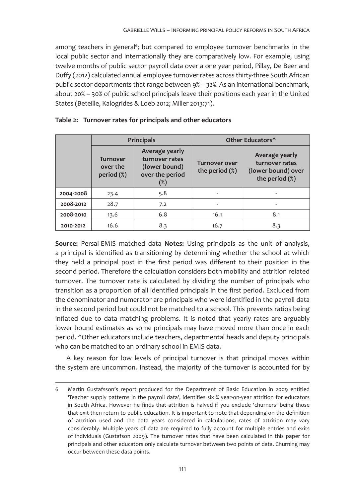among teachers in general<sup>6</sup>; but compared to employee turnover benchmarks in the local public sector and internationally they are comparatively low. For example, using twelve months of public sector payroll data over a one year period, Pillay, De Beer and Duffy (2012) calculated annual employee turnover rates across thirty-three South African public sector departments that range between 9% – 32%. As an international benchmark, about 20% – 30% of public school principals leave their positions each year in the United States (Beteille, Kalogrides & Loeb 2012; Miller 2013:71).

|           |                                              | <b>Principals</b>                                                           |                                           | Other Educators <sup>^</sup>                                                |
|-----------|----------------------------------------------|-----------------------------------------------------------------------------|-------------------------------------------|-----------------------------------------------------------------------------|
|           | <b>Turnover</b><br>over the<br>period $(\%)$ | Average yearly<br>turnover rates<br>(lower bound)<br>over the period<br>(%) | <b>Turnover over</b><br>the period $(\%)$ | Average yearly<br>turnover rates<br>(lower bound) over<br>the period $(\%)$ |
| 2004-2008 | 23.4                                         | 5.8                                                                         |                                           |                                                                             |
| 2008-2012 | 28.7                                         | 7.2                                                                         |                                           |                                                                             |
| 2008-2010 | 13.6                                         | 6.8                                                                         | 16.1                                      | 8.1                                                                         |
| 2010-2012 | 16.6                                         | 8.3                                                                         | 16.7                                      | 8.3                                                                         |

#### **Table 2: Turnover rates for principals and other educators**

**Source:** Persal-EMIS matched data **Notes:** Using principals as the unit of analysis, a principal is identified as transitioning by determining whether the school at which they held a principal post in the first period was different to their position in the second period. Therefore the calculation considers both mobility and attrition related turnover. The turnover rate is calculated by dividing the number of principals who transition as a proportion of all identified principals in the first period. Excluded from the denominator and numerator are principals who were identified in the payroll data in the second period but could not be matched to a school. This prevents ratios being inflated due to data matching problems. It is noted that yearly rates are arguably lower bound estimates as some principals may have moved more than once in each period. ^Other educators include teachers, departmental heads and deputy principals who can be matched to an ordinary school in EMIS data.

A key reason for low levels of principal turnover is that principal moves within the system are uncommon. Instead, the majority of the turnover is accounted for by

<sup>6</sup> Martin Gustafsson's report produced for the Department of Basic Education in 2009 entitled 'Teacher supply patterns in the payroll data', identifies six % year-on-year attrition for educators in South Africa. However he finds that attrition is halved if you exclude 'churners' being those that exit then return to public education. It is important to note that depending on the definition of attrition used and the data years considered in calculations, rates of attrition may vary considerably. Multiple years of data are required to fully account for multiple entries and exits of individuals (Gustafson 2009). The turnover rates that have been calculated in this paper for principals and other educators only calculate turnover between two points of data. Churning may occur between these data points.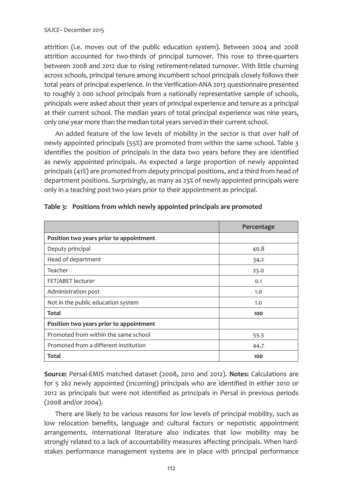attrition (i.e. moves out of the public education system). Between 2004 and 2008 attrition accounted for two-thirds of principal turnover. This rose to three-quarters between 2008 and 2012 due to rising retirement-related turnover. With little churning across schools, principal tenure among incumbent school principals closely follows their total years of principal experience. In the Verification-ANA 2013 questionnaire presented to roughly 2 000 school principals from a nationally representative sample of schools, principals were asked about their years of principal experience and tenure as a principal at their current school. The median years of total principal experience was nine years, only one year more than the median total years served in their current school.

An added feature of the low levels of mobility in the sector is that over half of newly appointed principals (55%) are promoted from within the same school. Table 3 identifies the position of principals in the data two years before they are identified as newly appointed principals. As expected a large proportion of newly appointed principals (41%) are promoted from deputy principal positions, and a third from head of department positions. Surprisingly, as many as 23% of newly appointed principals were only in a teaching post two years prior to their appointment as principal.

|                                         | Percentage |
|-----------------------------------------|------------|
| Position two years prior to appointment |            |
| Deputy principal                        | 40.8       |
| Head of department                      | 34.2       |
| Teacher                                 | 23.0       |
| FET/ABET lecturer                       | 0.1        |
| Administration post                     | 1.0        |
| Not in the public education system      | 1.0        |
| Total                                   | 100        |
| Position two years prior to appointment |            |
| Promoted from within the same school    | 55.3       |
| Promoted from a different institution   | 44.7       |
| Total                                   | 100        |

| Table 3: Positions from which newly appointed principals are promoted |  |  |
|-----------------------------------------------------------------------|--|--|
|                                                                       |  |  |

**Source:** Persal-EMIS matched dataset (2008, 2010 and 2012). **Notes:** Calculations are for 5 262 newly appointed (incoming) principals who are identified in either 2010 or 2012 as principals but were not identified as principals in Persal in previous periods (2008 and/or 2004).

There are likely to be various reasons for low levels of principal mobility, such as low relocation benefits, language and cultural factors or nepotistic appointment arrangements. International literature also indicates that low mobility may be strongly related to a lack of accountability measures affecting principals. When hardstakes performance management systems are in place with principal performance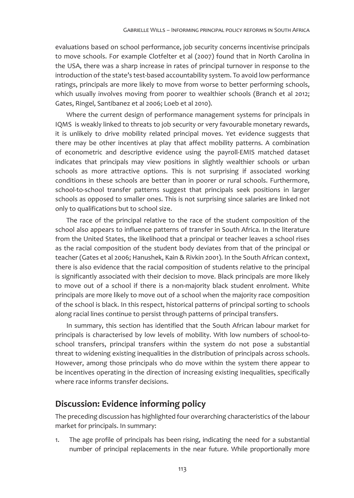evaluations based on school performance, job security concerns incentivise principals to move schools. For example Clotfelter et al (2007) found that in North Carolina in the USA, there was a sharp increase in rates of principal turnover in response to the introduction of the state's test-based accountability system. To avoid low performance ratings, principals are more likely to move from worse to better performing schools, which usually involves moving from poorer to wealthier schools (Branch et al 2012; Gates, Ringel, Santibanez et al 2006; Loeb et al 2010).

Where the current design of performance management systems for principals in IQMS is weakly linked to threats to job security or very favourable monetary rewards, it is unlikely to drive mobility related principal moves. Yet evidence suggests that there may be other incentives at play that affect mobility patterns. A combination of econometric and descriptive evidence using the payroll-EMIS matched dataset indicates that principals may view positions in slightly wealthier schools or urban schools as more attractive options. This is not surprising if associated working conditions in these schools are better than in poorer or rural schools. Furthermore, school-to-school transfer patterns suggest that principals seek positions in larger schools as opposed to smaller ones. This is not surprising since salaries are linked not only to qualifications but to school size.

The race of the principal relative to the race of the student composition of the school also appears to influence patterns of transfer in South Africa. In the literature from the United States, the likelihood that a principal or teacher leaves a school rises as the racial composition of the student body deviates from that of the principal or teacher (Gates et al 2006; Hanushek, Kain & Rivkin 2001). In the South African context, there is also evidence that the racial composition of students relative to the principal is significantly associated with their decision to move. Black principals are more likely to move out of a school if there is a non-majority black student enrolment. White principals are more likely to move out of a school when the majority race composition of the school is black. In this respect, historical patterns of principal sorting to schools along racial lines continue to persist through patterns of principal transfers.

In summary, this section has identified that the South African labour market for principals is characterised by low levels of mobility. With low numbers of school-toschool transfers, principal transfers within the system do not pose a substantial threat to widening existing inequalities in the distribution of principals across schools. However, among those principals who do move within the system there appear to be incentives operating in the direction of increasing existing inequalities, specifically where race informs transfer decisions.

#### **Discussion: Evidence informing policy**

The preceding discussion has highlighted four overarching characteristics of the labour market for principals. In summary:

1. The age profile of principals has been rising, indicating the need for a substantial number of principal replacements in the near future. While proportionally more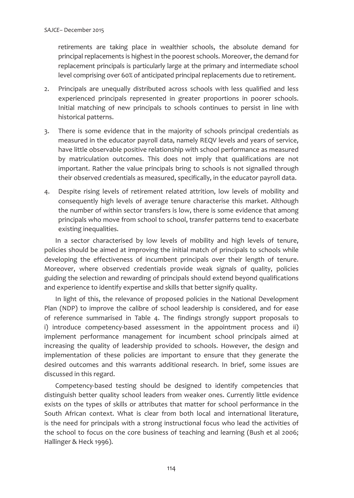retirements are taking place in wealthier schools, the absolute demand for principal replacements is highest in the poorest schools. Moreover, the demand for replacement principals is particularly large at the primary and intermediate school level comprising over 60% of anticipated principal replacements due to retirement.

- 2. Principals are unequally distributed across schools with less qualified and less experienced principals represented in greater proportions in poorer schools. Initial matching of new principals to schools continues to persist in line with historical patterns.
- 3. There is some evidence that in the majority of schools principal credentials as measured in the educator payroll data, namely REQV levels and years of service, have little observable positive relationship with school performance as measured by matriculation outcomes. This does not imply that qualifications are not important. Rather the value principals bring to schools is not signalled through their observed credentials as measured, specifically, in the educator payroll data.
- 4. Despite rising levels of retirement related attrition, low levels of mobility and consequently high levels of average tenure characterise this market. Although the number of within sector transfers is low, there is some evidence that among principals who move from school to school, transfer patterns tend to exacerbate existing inequalities.

In a sector characterised by low levels of mobility and high levels of tenure, policies should be aimed at improving the initial match of principals to schools while developing the effectiveness of incumbent principals over their length of tenure. Moreover, where observed credentials provide weak signals of quality, policies guiding the selection and rewarding of principals should extend beyond qualifications and experience to identify expertise and skills that better signify quality.

In light of this, the relevance of proposed policies in the National Development Plan (NDP) to improve the calibre of school leadership is considered, and for ease of reference summarised in Table 4. The findings strongly support proposals to i) introduce competency-based assessment in the appointment process and ii) implement performance management for incumbent school principals aimed at increasing the quality of leadership provided to schools. However, the design and implementation of these policies are important to ensure that they generate the desired outcomes and this warrants additional research. In brief, some issues are discussed in this regard.

Competency-based testing should be designed to identify competencies that distinguish better quality school leaders from weaker ones. Currently little evidence exists on the types of skills or attributes that matter for school performance in the South African context. What is clear from both local and international literature, is the need for principals with a strong instructional focus who lead the activities of the school to focus on the core business of teaching and learning (Bush et al 2006; Hallinger & Heck 1996).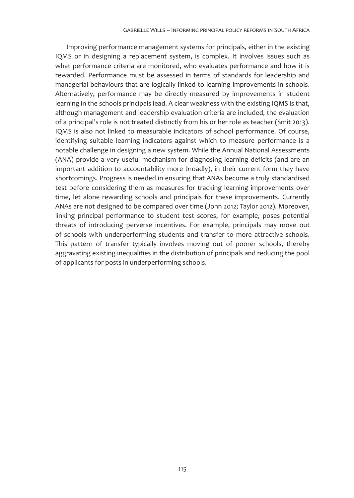Improving performance management systems for principals, either in the existing IQMS or in designing a replacement system, is complex. It involves issues such as what performance criteria are monitored, who evaluates performance and how it is rewarded. Performance must be assessed in terms of standards for leadership and managerial behaviours that are logically linked to learning improvements in schools. Alternatively, performance may be directly measured by improvements in student learning in the schools principals lead. A clear weakness with the existing IQMS is that, although management and leadership evaluation criteria are included, the evaluation of a principal's role is not treated distinctly from his or her role as teacher (Smit 2013). IQMS is also not linked to measurable indicators of school performance. Of course, identifying suitable learning indicators against which to measure performance is a notable challenge in designing a new system. While the Annual National Assessments (ANA) provide a very useful mechanism for diagnosing learning deficits (and are an important addition to accountability more broadly), in their current form they have shortcomings. Progress is needed in ensuring that ANAs become a truly standardised test before considering them as measures for tracking learning improvements over time, let alone rewarding schools and principals for these improvements. Currently ANAs are not designed to be compared over time (John 2012; Taylor 2012). Moreover, linking principal performance to student test scores, for example, poses potential threats of introducing perverse incentives. For example, principals may move out of schools with underperforming students and transfer to more attractive schools. This pattern of transfer typically involves moving out of poorer schools, thereby aggravating existing inequalities in the distribution of principals and reducing the pool of applicants for posts in underperforming schools.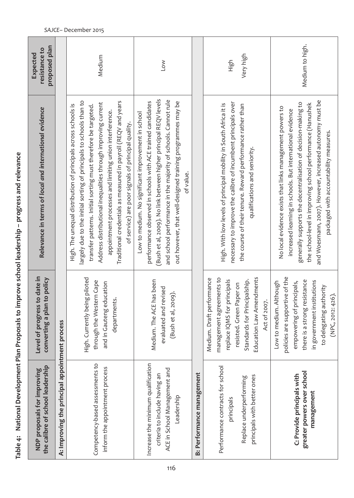| ומא מאה הבה הומא א<br>)                      |
|----------------------------------------------|
|                                              |
| Ī                                            |
|                                              |
|                                              |
|                                              |
| <b>^^(一) つうこうしょ りこうこうこう</b><br>$\frac{1}{2}$ |
|                                              |
| ,<br>!<br>e Pian Prono                       |
| ֚֚֬                                          |
| -<br>-<br>-<br>-                             |
|                                              |
| I                                            |
| Table 4:                                     |

| the calibre of school leadership<br>NDP proposals for improving                                                   | Level of progress to date in<br>converting a plan to policy                                                                                                                                          | Relevance in terms of local and international evidence                                                                                                                                                                                                                                                                                                                                                                                                    | proposed plan<br>resistance to<br><b>Expected</b> |
|-------------------------------------------------------------------------------------------------------------------|------------------------------------------------------------------------------------------------------------------------------------------------------------------------------------------------------|-----------------------------------------------------------------------------------------------------------------------------------------------------------------------------------------------------------------------------------------------------------------------------------------------------------------------------------------------------------------------------------------------------------------------------------------------------------|---------------------------------------------------|
| A: Improving the principal appointment process                                                                    |                                                                                                                                                                                                      |                                                                                                                                                                                                                                                                                                                                                                                                                                                           |                                                   |
| Competency-based assessments to<br>inform the appointment process                                                 | High. Currently being piloted<br>through the Western Cape<br>and in Gauteng education<br>departments.                                                                                                | argely due to the initial sorting of principals to schools than to<br>Traditional credentials as measured in payroll (REQV and years<br>Address distributional inequalities through improving current<br>High. The unequal distribution of principals across schools is<br>transfer patterns. Initial sorting must therefore be targeted.<br>appointment processes and limiting union interference.<br>of service) are poor signals of principal quality. | Medium                                            |
| Increase the minimum qualification<br>ACE in School Management and<br>criteria to include having an<br>Leadership | Medium. The ACE has been<br>evaluated and revised<br>(Bush et al, 2009).                                                                                                                             | Bush et al, 2009). No link between higher principal REQV levels<br>and school performance in the majority of schools. Cannot rule<br>performance observed in schools with ACE trained candidates<br>out however, that well-designed training programmes may be<br>Low to medium. No significant improvement in school<br>of value.                                                                                                                        | Low                                               |
| <b>B: Performance management</b>                                                                                  |                                                                                                                                                                                                      |                                                                                                                                                                                                                                                                                                                                                                                                                                                           |                                                   |
| Performance contracts for school<br>principals with better ones<br>Replace underperforming<br>principals          | management agreements to<br>Education Law Amendments<br>Medium. Draft performance<br>Standards for Principalship.<br>replace IQMS for principals<br>resisted. Green Paper on<br>Act of 2007.         | necessary to improve the calibre of incumbent principals over<br>High. With low levels of principal mobility in South Africa it is<br>the course of their tenure. Reward performance rather than<br>qualifications and seniority.                                                                                                                                                                                                                         | Very high<br>High                                 |
| greater powers over school<br>C: Provide principals with<br>management                                            | policies are supportive of the<br>there is a strong resistance<br>Low to medium. Although<br>in government institutions<br>empowering of principals,<br>to delegating authority<br>(NPC, 2012: 426). | and Woesmann, 2007). However, increased autonomy must be<br>generally supports the decentralisation of decision-making to<br>the school-level in improving school performance (Hanushek<br>No local evidence exists that links management powers to<br>increased learning in schools. But international evidence<br>packaged with accountability measures.                                                                                                | Medium to high.                                   |

*SAJCE*– December 2015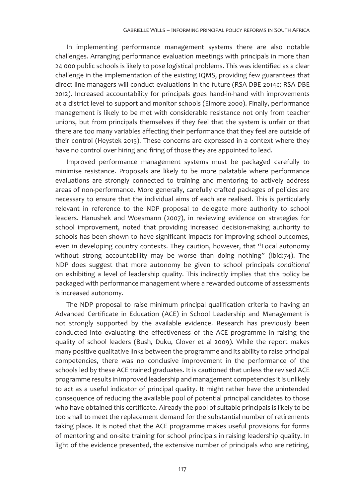In implementing performance management systems there are also notable challenges. Arranging performance evaluation meetings with principals in more than 24 000 public schools is likely to pose logistical problems. This was identified as a clear challenge in the implementation of the existing IQMS, providing few guarantees that direct line managers will conduct evaluations in the future (RSA DBE 2014c; RSA DBE 2012). Increased accountability for principals goes hand-in-hand with improvements at a district level to support and monitor schools (Elmore 2000). Finally, performance management is likely to be met with considerable resistance not only from teacher unions, but from principals themselves if they feel that the system is unfair or that there are too many variables affecting their performance that they feel are outside of their control (Heystek 2015). These concerns are expressed in a context where they have no control over hiring and firing of those they are appointed to lead.

Improved performance management systems must be packaged carefully to minimise resistance. Proposals are likely to be more palatable where performance evaluations are strongly connected to training and mentoring to actively address areas of non-performance. More generally, carefully crafted packages of policies are necessary to ensure that the individual aims of each are realised. This is particularly relevant in reference to the NDP proposal to delegate more authority to school leaders. Hanushek and Woesmann (2007), in reviewing evidence on strategies for school improvement, noted that providing increased decision-making authority to schools has been shown to have significant impacts for improving school outcomes, even in developing country contexts. They caution, however, that "Local autonomy without strong accountability may be worse than doing nothing" (ibid:74). The NDP does suggest that more autonomy be given to school principals *conditional* on exhibiting a level of leadership quality. This indirectly implies that this policy be packaged with performance management where a rewarded outcome of assessments is increased autonomy.

The NDP proposal to raise minimum principal qualification criteria to having an Advanced Certificate in Education (ACE) in School Leadership and Management is not strongly supported by the available evidence. Research has previously been conducted into evaluating the effectiveness of the ACE programme in raising the quality of school leaders (Bush, Duku, Glover et al 2009). While the report makes many positive qualitative links between the programme and its ability to raise principal competencies, there was no conclusive improvement in the performance of the schools led by these ACE trained graduates. It is cautioned that unless the revised ACE programme results in improved leadership and management competencies it is unlikely to act as a useful indicator of principal quality. It might rather have the unintended consequence of reducing the available pool of potential principal candidates to those who have obtained this certificate. Already the pool of suitable principals is likely to be too small to meet the replacement demand for the substantial number of retirements taking place. It is noted that the ACE programme makes useful provisions for forms of mentoring and on-site training for school principals in raising leadership quality. In light of the evidence presented, the extensive number of principals who are retiring,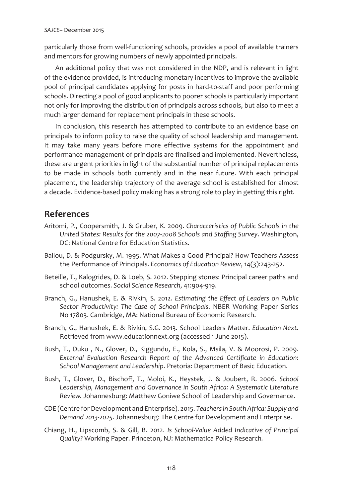particularly those from well-functioning schools, provides a pool of available trainers and mentors for growing numbers of newly appointed principals.

An additional policy that was not considered in the NDP, and is relevant in light of the evidence provided, is introducing monetary incentives to improve the available pool of principal candidates applying for posts in hard-to-staff and poor performing schools. Directing a pool of good applicants to poorer schools is particularly important not only for improving the distribution of principals across schools, but also to meet a much larger demand for replacement principals in these schools.

In conclusion, this research has attempted to contribute to an evidence base on principals to inform policy to raise the quality of school leadership and management. It may take many years before more effective systems for the appointment and performance management of principals are finalised and implemented. Nevertheless, these are urgent priorities in light of the substantial number of principal replacements to be made in schools both currently and in the near future. With each principal placement, the leadership trajectory of the average school is established for almost a decade. Evidence-based policy making has a strong role to play in getting this right.

#### **References**

- Aritomi, P., Coopersmith, J. & Gruber, K. 2009. *Characteristics of Public Schools in the United States: Results for the 2007-2008 Schools and Staffing Survey*. Washington, DC: National Centre for Education Statistics.
- Ballou, D. & Podgursky, M. 1995. What Makes a Good Principal? How Teachers Assess the Performance of Principals. *Economics of Education Review*, 14(3):243-252.
- Beteille, T., Kalogrides, D. & Loeb, S. 2012. Stepping stones: Principal career paths and school outcomes. *Social Science Research*, 41:904-919.
- Branch, G., Hanushek, E. & Rivkin, S. 2012. *Estimating the Effect of Leaders on Public Sector Productivity: The Case of School Principals*. NBER Working Paper Series No 17803. Cambridge, MA: National Bureau of Economic Research.
- Branch, G., Hanushek, E. & Rivkin, S.G. 2013. School Leaders Matter. *Education Next*. Retrieved from www.educationnext.org (accessed 1 June 2015).
- Bush, T., Duku , N., Glover, D., Kiggundu, E., Kola, S., Msila, V. & Moorosi, P. 2009. *External Evaluation Research Report of the Advanced Certificate in Education: School Management and Leadership*. Pretoria: Department of Basic Education.
- Bush, T., Glover, D., Bischoff, T., Moloi, K., Heystek, J. & Joubert, R. 2006. *School Leadership, Management and Governance in South Africa: A Systematic Literature Review.* Johannesburg: Matthew Goniwe School of Leadership and Governance.
- CDE (Centre for Development and Enterprise). 2015. *Teachers in South Africa: Supply and Demand 2013-2025*. Johannesburg: The Centre for Development and Enterprise.
- Chiang, H., Lipscomb, S. & Gill, B. 2012. *Is School-Value Added Indicative of Principal Quality?* Working Paper. Princeton, NJ: Mathematica Policy Research*.*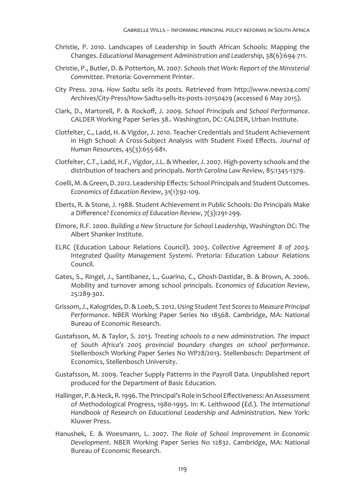- Christie, P. 2010. Landscapes of Leadership in South African Schools: Mapping the Changes. *Educational Management Administration and Leadership*, 38(6):694-711.
- Christie, P., Butler, D. & Potterton, M. 2007. *Schools that Work: Report of the Ministerial Committee*. Pretoria: Government Printer.
- City Press. 2014. *How Sadtu sells its posts.* Retrieved from http://www.news24.com/ Archives/City-Press/How-Sadtu-sells-its-posts-20150429 (accessed 6 May 2015).
- Clark, D., Martorell, P. & Rockoff, J. 2009. *School Principals and School Performance*. CALDER Working Paper Series 38.*.* Washington, DC: CALDER, Urban Institute.
- Clotfelter, C., Ladd, H. & Vigdor, J. 2010. Teacher Credentials and Student Achievement in High School: A Cross-Subject Analysis with Student Fixed Effects. *Journal of Human Resources*, 45(3):655-681.
- Clotfelter, C.T., Ladd, H.F., Vigdor, J.L. & Wheeler, J. 2007. High-poverty schools and the distribution of teachers and principals. *North Carolina Law Review*, 85:1345-1379.
- Coelli, M. & Green, D. 2012. Leadership Effects: School Principals and Student Outcomes. *Economics of Education Review*, 31(1):92-109.
- Eberts, R. & Stone, J. 1988. Student Achievement in Public Schools: Do Principals Make a Difference? *Economics of Education Review*, 7(3):291-299.
- Elmore, R.F. 2000. *Building a New Structure for School Leadership*, Washington DC: The Albert Shanker Institute.
- ELRC (Education Labour Relations Council). 2003. *Collective Agreement 8 of 2003. Integrated Quality Management Systemi*. Pretoria: Education Labour Relations Council.
- Gates, S., Ringel, J., Santibanez, L., Guarino, C., Ghosh-Dastidar, B. & Brown, A. 2006. Mobility and turnover among school principals. *Economics of Education Review*, 25:289-302.
- Grissom, J., Kalogrides, D. & Loeb, S. 2012. *Using Student Test Scores to Measure Principal Performance*. NBER Working Paper Series No 18568. Cambridge, MA: National Bureau of Economic Research.
- Gustafsson, M. & Taylor, S. 2013. *Treating schools to a new administration. The impact of South Africa's 2005 provincial boundary changes on school performance*. Stellenbosch Working Paper Series No WP28/2013. Stellenbosch: Department of Economics, Stellenbosch University.
- Gustafsson, M. 2009. Teacher Supply Patterns in the Payroll Data. Unpublished report produced for the Department of Basic Education.
- Hallinger, P. & Heck, R. 1996. The Principal's Role in School Effectiveness: An Assessment of Methodological Progress, 1980-1995. In: K. Leithwood (Ed.). *The International Handbook of Research on Educational Leadership and Administration*. New York: Kluwer Press.
- Hanushek, E. & Woesmann, L. 2007. *The Role of School Improvement in Economic Development*. NBER Working Paper Series No 12832. Cambridge, MA: National Bureau of Economic Research.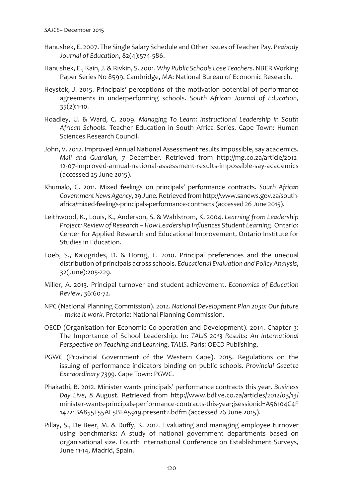- Hanushek, E. 2007. The Single Salary Schedule and Other Issues of Teacher Pay. *Peabody Journal of Education*, 82(4):574-586.
- Hanushek, E., Kain, J. & Rivkin, S. 2001. *Why Public Schools Lose Teachers*. NBER Working Paper Series No 8599. Cambridge, MA: National Bureau of Economic Research.
- Heystek, J. 2015. Principals' perceptions of the motivation potential of performance agreements in underperforming schools. *South African Journal of Education*, 35(2):1-10.
- Hoadley, U. & Ward, C. 2009. *Managing To Learn: Instructional Leadership in South African Schools*. Teacher Education in South Africa Series. Cape Town: Human Sciences Research Council.
- John, V. 2012. Improved Annual National Assessment results impossible, say academics. *Mail and Guardian*, 7 December. Retrieved from http://mg.co.za/article/2012- 12-07-improved-annual-national-assessment-results-impossible-say-academics (accessed 25 June 2015).
- Khumalo, G. 2011. Mixed feelings on principals' performance contracts. *South African Government News Agency*, 29 June. Retrieved from http://www.sanews.gov.za/southafrica/mixed-feelings-principals-performance-contracts (accessed 26 June 2015).
- Leithwood, K., Louis, K., Anderson, S. & Wahlstrom, K. 2004. *Learning from Leadership Project: Review of Research – How Leadership Influences Student Learning*. Ontario: Center for Applied Research and Educational Improvement, Ontario Institute for Studies in Education.
- Loeb, S., Kalogrides, D. & Horng, E. 2010. Principal preferences and the unequal distribution of principals across schools. *Educational Evaluation and Policy Analysis*, 32(June):205-229.
- Miller, A. 2013. Principal turnover and student achievement. *Economics of Education Review*, 36:60-72.
- NPC (National Planning Commission). 2012. *National Development Plan 2030: Our future – make it work*. Pretoria: National Planning Commission.
- OECD (Organisation for Economic Co-operation and Development). 2014. Chapter 3: The Importance of School Leadership. In: *TALIS 2013 Results: An International Perspective on Teaching and Learning, TALIS*. Paris: OECD Publishing.
- PGWC (Provincial Government of the Western Cape). 2015. Regulations on the issuing of performance indicators binding on public schools*. Provincial Gazette Extraordinary 7399*. Cape Town: PGWC.
- Phakathi, B. 2012. Minister wants principals' performance contracts this year. *Business Day Live*, 8 August. Retrieved from http://www.bdlive.co.za/articles/2012/03/13/ minister-wants-principals-performance-contracts-this-year;jsessionid=A56104C4F 14221BA855F55AE5BFA5919.present2.bdfm (accessed 26 June 2015).
- Pillay, S., De Beer, M. & Duffy, K. 2012. Evaluating and managing employee turnover using benchmarks: A study of national government departments based on organisational size*.* Fourth International Conference on Establishment Surveys, June 11-14, Madrid, Spain.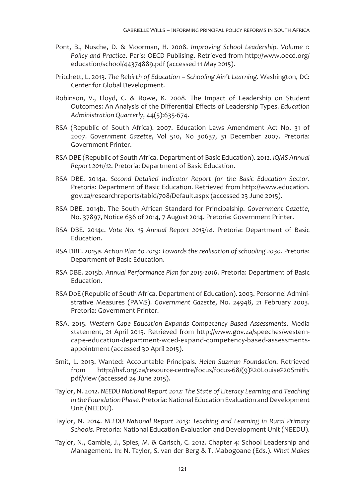- Pont, B., Nusche, D. & Moorman, H. 2008. *Improving School Leadership. Volume 1: Policy and Practice*. Paris: OECD Publising. Retrieved from http://www.oecd.org/ education/school/44374889.pdf (accessed 11 May 2015).
- Pritchett, L. 2013. *The Rebirth of Education Schooling Ain't Learning*. Washington, DC: Center for Global Development.
- Robinson, V., Lloyd, C. & Rowe, K. 2008. The Impact of Leadership on Student Outcomes: An Analysis of the Differential Effects of Leadership Types. *Education Administration Quarterly*, 44(5):635-674.
- RSA (Republic of South Africa). 2007. Education Laws Amendment Act No. 31 of 2007. *Government Gazette*, Vol 510, No 30637, 31 December 2007. Pretoria: Government Printer.
- RSA DBE (Republic of South Africa. Department of Basic Education). 2012. *IQMS Annual Report 2011/12*. Pretoria: Department of Basic Education.
- RSA DBE. 2014a. *Second Detailed Indicator Report for the Basic Education Sector*. Pretoria: Department of Basic Education. Retrieved from http://www.education. gov.za/researchreports/tabid/708/Default.aspx (accessed 23 June 2015).
- RSA DBE. 2014b. The South African Standard for Principalship*. Government Gazette*, No. 37897, Notice 636 of 2014, 7 August 2014. Pretoria: Government Printer.
- RSA DBE. 2014c. *Vote No. 15 Annual Report 2013/14*. Pretoria: Department of Basic Education.
- RSA DBE. 2015a. *Action Plan to 2019: Towards the realisation of schooling 2030*. Pretoria: Department of Basic Education.
- RSA DBE. 2015b. *Annual Performance Plan for 2015-2016*. Pretoria: Department of Basic Education.
- RSA DoE (Republic of South Africa. Department of Education). 2003. Personnel Administrative Measures (PAMS). *Government Gazette*, No. 24948, 21 February 2003. Pretoria: Government Printer.
- RSA. 2015. *Western Cape Education Expands Competency Based Assessments*. Media statement, 21 April 2015. Retrieved from http://www.gov.za/speeches/westerncape-education-department-wced-expand-competency-based-assessmentsappointment (accessed 30 April 2015).
- Smit, L. 2013. Wanted: Accountable Principals. *Helen Suzman Foundation*. Retrieved from http://hsf.org.za/resource-centre/focus/focus-68/(9)%20Louise%20Smith. pdf/view (accessed 24 June 2015).
- Taylor, N. 2012. *NEEDU National Report 2012: The State of Literacy Learning and Teaching in the Foundation Phase*. Pretoria: National Education Evaluation and Development Unit (NEEDU).
- Taylor, N. 2014. *NEEDU National Report 2013: Teaching and Learning in Rural Primary Schools*. Pretoria: National Education Evaluation and Development Unit (NEEDU).
- Taylor, N., Gamble, J., Spies, M. & Garisch, C. 2012. Chapter 4: School Leadership and Management. In: N. Taylor, S. van der Berg & T. Mabogoane (Eds.). *What Makes*